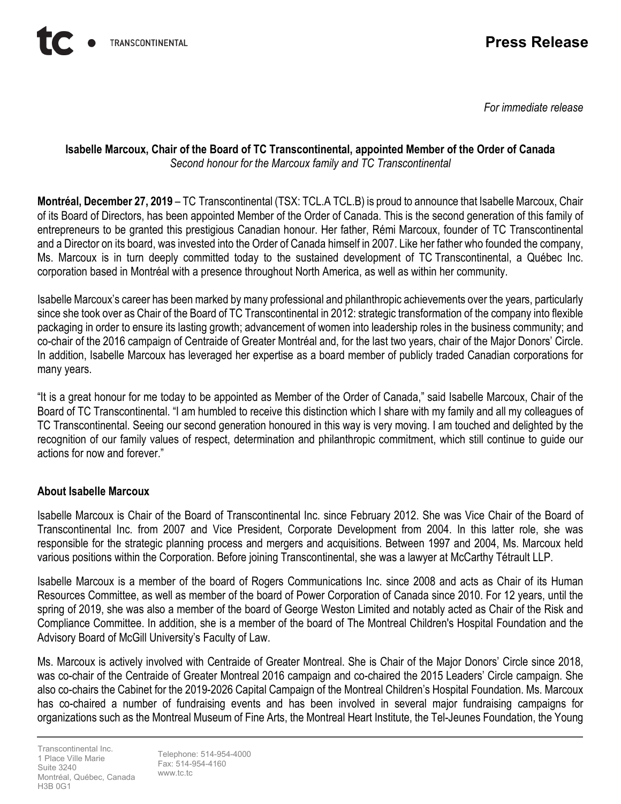

*For immediate release*

#### **Isabelle Marcoux, Chair of the Board of TC Transcontinental, appointed Member of the Order of Canada**  *Second honour for the Marcoux family and TC Transcontinental*

**Montréal, December 27, 2019** – TC Transcontinental (TSX: TCL.A TCL.B) is proud to announce that Isabelle Marcoux, Chair of its Board of Directors, has been appointed Member of the Order of Canada. This is the second generation of this family of entrepreneurs to be granted this prestigious Canadian honour. Her father, Rémi Marcoux, founder of TC Transcontinental and a Director on its board, was invested into the Order of Canada himself in 2007. Like her father who founded the company, Ms. Marcoux is in turn deeply committed today to the sustained development of TC Transcontinental, a Québec Inc. corporation based in Montréal with a presence throughout North America, as well as within her community.

Isabelle Marcoux's career has been marked by many professional and philanthropic achievements over the years, particularly since she took over as Chair of the Board of TC Transcontinental in 2012: strategic transformation of the company into flexible packaging in order to ensure its lasting growth; advancement of women into leadership roles in the business community; and co-chair of the 2016 campaign of Centraide of Greater Montréal and, for the last two years, chair of the Major Donors' Circle. In addition, Isabelle Marcoux has leveraged her expertise as a board member of publicly traded Canadian corporations for many years.

"It is a great honour for me today to be appointed as Member of the Order of Canada," said Isabelle Marcoux, Chair of the Board of TC Transcontinental. "I am humbled to receive this distinction which I share with my family and all my colleagues of TC Transcontinental. Seeing our second generation honoured in this way is very moving. I am touched and delighted by the recognition of our family values of respect, determination and philanthropic commitment, which still continue to guide our actions for now and forever."

## **About Isabelle Marcoux**

Isabelle Marcoux is Chair of the Board of Transcontinental Inc. since February 2012. She was Vice Chair of the Board of Transcontinental Inc. from 2007 and Vice President, Corporate Development from 2004. In this latter role, she was responsible for the strategic planning process and mergers and acquisitions. Between 1997 and 2004, Ms. Marcoux held various positions within the Corporation. Before joining Transcontinental, she was a lawyer at McCarthy Tétrault LLP.

Isabelle Marcoux is a member of the board of Rogers Communications Inc. since 2008 and acts as Chair of its Human Resources Committee, as well as member of the board of Power Corporation of Canada since 2010. For 12 years, until the spring of 2019, she was also a member of the board of George Weston Limited and notably acted as Chair of the Risk and Compliance Committee. In addition, she is a member of the board of The Montreal Children's Hospital Foundation and the Advisory Board of McGill University's Faculty of Law.

Ms. Marcoux is actively involved with Centraide of Greater Montreal. She is Chair of the Major Donors' Circle since 2018, was co-chair of the Centraide of Greater Montreal 2016 campaign and co-chaired the 2015 Leaders' Circle campaign. She also co-chairs the Cabinet for the 2019-2026 Capital Campaign of the Montreal Children's Hospital Foundation. Ms. Marcoux has co-chaired a number of fundraising events and has been involved in several major fundraising campaigns for organizations such as the Montreal Museum of Fine Arts, the Montreal Heart Institute, the Tel-Jeunes Foundation, the Young

Transcontinental Inc. 1 Place Ville Marie Suite 3240 Montréal, Québec, Canada H3B 0G1

Telephone: 514-954-4000 Fax: 514-954-4160 www.tc.tc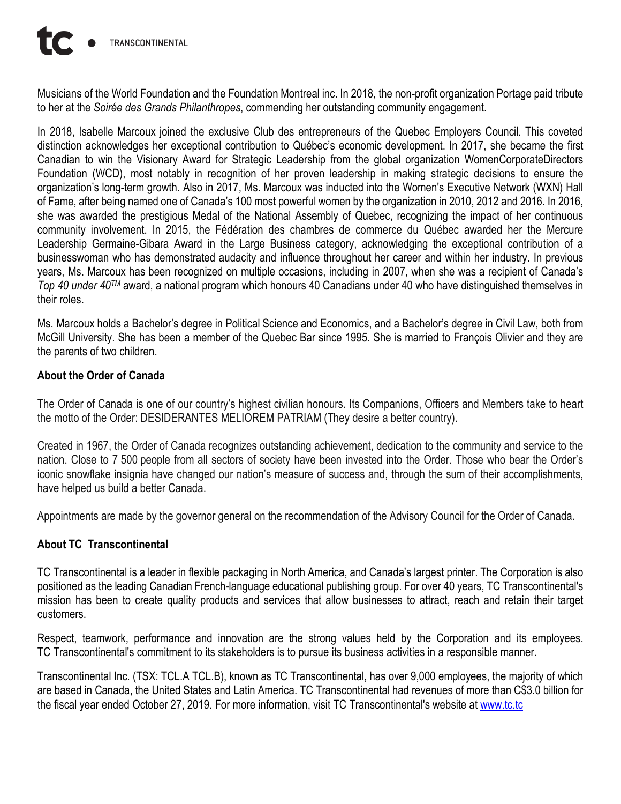Musicians of the World Foundation and the Foundation Montreal inc. In 2018, the non-profit organization Portage paid tribute to her at the *Soirée des Grands Philanthropes*, commending her outstanding community engagement.

In 2018, Isabelle Marcoux joined the exclusive Club des entrepreneurs of the Quebec Employers Council. This coveted distinction acknowledges her exceptional contribution to Québec's economic development. In 2017, she became the first Canadian to win the Visionary Award for Strategic Leadership from the global organization WomenCorporateDirectors Foundation (WCD), most notably in recognition of her proven leadership in making strategic decisions to ensure the organization's long-term growth. Also in 2017, Ms. Marcoux was inducted into the Women's Executive Network (WXN) Hall of Fame, after being named one of Canada's 100 most powerful women by the organization in 2010, 2012 and 2016. In 2016, she was awarded the prestigious Medal of the National Assembly of Quebec, recognizing the impact of her continuous community involvement. In 2015, the Fédération des chambres de commerce du Québec awarded her the Mercure Leadership Germaine-Gibara Award in the Large Business category, acknowledging the exceptional contribution of a businesswoman who has demonstrated audacity and influence throughout her career and within her industry. In previous years, Ms. Marcoux has been recognized on multiple occasions, including in 2007, when she was a recipient of Canada's *Top 40 under 40TM* award, a national program which honours 40 Canadians under 40 who have distinguished themselves in their roles.

Ms. Marcoux holds a Bachelor's degree in Political Science and Economics, and a Bachelor's degree in Civil Law, both from McGill University. She has been a member of the Quebec Bar since 1995. She is married to François Olivier and they are the parents of two children.

## **About the Order of Canada**

The Order of Canada is one of our country's highest civilian honours. Its Companions, Officers and Members take to heart the motto of the Order: DESIDERANTES MELIOREM PATRIAM (They desire a better country).

Created in 1967, the Order of Canada recognizes outstanding achievement, dedication to the community and service to the nation. Close to 7 500 people from all sectors of society have been invested into the Order. Those who bear the Order's iconic snowflake insignia have changed our nation's measure of success and, through the sum of their accomplishments, have helped us build a better Canada.

Appointments are made by the governor general on the recommendation of the Advisory Council for the Order of Canada.

### **About TC Transcontinental**

TC Transcontinental is a leader in flexible packaging in North America, and Canada's largest printer. The Corporation is also positioned as the leading Canadian French-language educational publishing group. For over 40 years, TC Transcontinental's mission has been to create quality products and services that allow businesses to attract, reach and retain their target customers.

Respect, teamwork, performance and innovation are the strong values held by the Corporation and its employees. TC Transcontinental's commitment to its stakeholders is to pursue its business activities in a responsible manner.

Transcontinental Inc. (TSX: TCL.A TCL.B), known as TC Transcontinental, has over 9,000 employees, the majority of which are based in Canada, the United States and Latin America. TC Transcontinental had revenues of more than C\$3.0 billion for the fiscal year ended October 27, 2019. For more information, visit TC Transcontinental's website a[t www.tc.tc](http://www.tc.tc/)